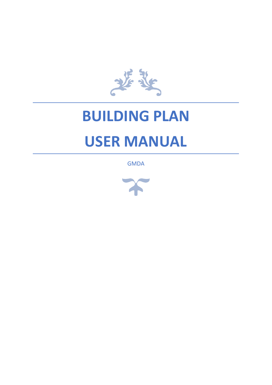

# **BUILDING PLAN USER MANUAL**

**GMDA** 

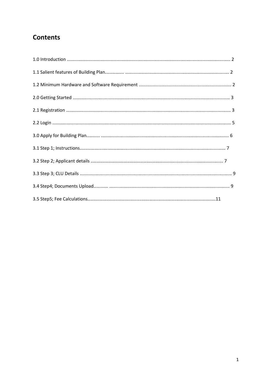## **Contents**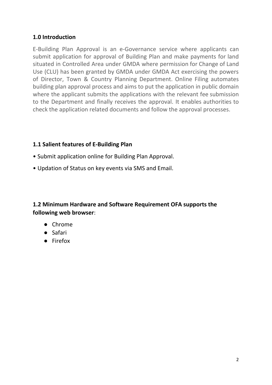## **1.0 Introduction**

E-Building Plan Approval is an e-Governance service where applicants can submit application for approval of Building Plan and make payments for land situated in Controlled Area under GMDA where permission for Change of Land Use (CLU) has been granted by GMDA under GMDA Act exercising the powers of Director, Town & Country Planning Department. Online Filing automates building plan approval process and aims to put the application in public domain where the applicant submits the applications with the relevant fee submission to the Department and finally receives the approval. It enables authorities to check the application related documents and follow the approval processes.

### **1.1 Salient features of E-Building Plan**

- Submit application online for Building Plan Approval.
- Updation of Status on key events via SMS and Email.

## **1.2 Minimum Hardware and Software Requirement OFA supports the following web browser**:

- Chrome
- Safari
- Firefox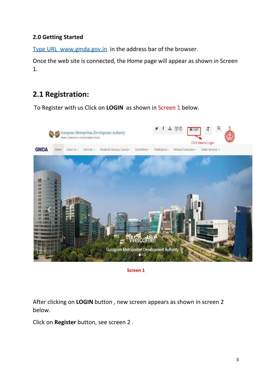## **2.0 Getting Started**

Type URL www.gmda.gov.in in the address bar of the browser.

Once the web site is connected, the Home page will appear as shown in Screen 1.

# **2.1 Registration:**

To Register with us Click on **LOGIN** as shown in Screen 1 below.



**Screen 1**

After clicking on **LOGIN** button , new screen appears as shown in screen 2 below.

Click on **Register** button, see screen 2 .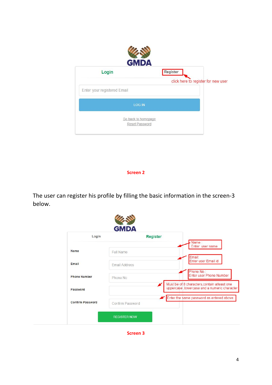| <b>GMDA</b>                           |                                     |
|---------------------------------------|-------------------------------------|
| Login                                 | Register                            |
| Enter your registered Email           | click here to register for new user |
| <b>LOG IN</b>                         |                                     |
| Go back to homepage<br>Reset Password |                                     |

#### **Screen 2**

The user can register his profile by filling the basic information in the screen-3 below.

| Login                   | <b>Register</b>      | Name:                                                                                       |
|-------------------------|----------------------|---------------------------------------------------------------------------------------------|
| Name                    | <b>Full Name</b>     | Enter user name                                                                             |
| Email                   | <b>Email Address</b> | Email:<br>Enter user Email id                                                               |
| <b>Phone Number</b>     | Phone No             | Phone No.:<br><b>Enter user Phone Number</b>                                                |
| Password                |                      | Must be of 8 characters, contain atleast one<br>uppercase lowercase and a numeric character |
| <b>Confirm Password</b> | Confirm Password     | Enter the same password as entered above                                                    |

**Screen 3**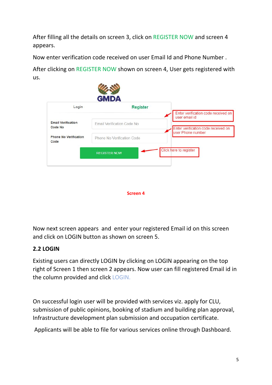After filling all the details on screen 3, click on REGISTER NOW and screen 4 appears.

Now enter verification code received on user Email Id and Phone Number .

After clicking on REGISTER NOW shown on screen 4, User gets registered with us.

| Login                                | <b>Register</b>            |                                                      |
|--------------------------------------|----------------------------|------------------------------------------------------|
|                                      |                            | Enter verification code received on<br>user email id |
| <b>Email Verification</b><br>Code No | Email Verification Code No | Enter verification code received on                  |
|                                      |                            | user Phone number                                    |
| <b>Phone No Verification</b><br>Code | Phone No Verification Code |                                                      |
|                                      | <b>REGISTER NOW</b>        | Click here to register                               |



Now next screen appears and enter your registered Email id on this screen and click on LOGIN button as shown on screen 5.

## **2.2 LOGIN**

Existing users can directly LOGIN by clicking on LOGIN appearing on the top right of Screen 1 then screen 2 appears. Now user can fill registered Email id in the column provided and click LOGIN.

On successful login user will be provided with services viz. apply for CLU, submission of public opinions, booking of stadium and building plan approval, Infrastructure development plan submission and occupation certificate.

Applicants will be able to file for various services online through Dashboard.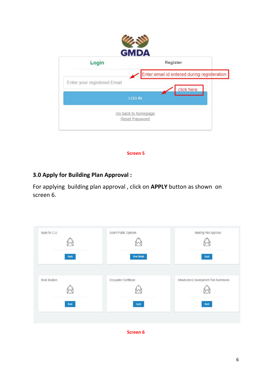

**Screen 5**

## **3.0 Apply for Building Plan Approval :**

For applying building plan approval , click on **APPLY** button as shown on screen 6.

| Apply for CLU | Submit Public Opinions | Building Plan Approval                     |
|---------------|------------------------|--------------------------------------------|
| Apply         | <b>View Details</b>    | Apply                                      |
| Book Stadium  | Occupation Certificate | Infrastructure Development Plan Submission |
| <b>Book</b>   | Apply                  | <b>Book</b>                                |

**Screen 6**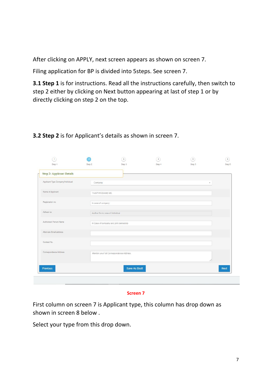After clicking on APPLY, next screen appears as shown on screen 7.

Filing application for BP is divided into 5steps. See screen 7.

**3.1 Step 1** is for instructions. Read all the instructions carefully, then switch to step 2 either by clicking on Next button appearing at last of step 1 or by directly clicking on step 2 on the top.

| <b>Step 2: Applicant Details</b>  |                                        |                                          |  |             |
|-----------------------------------|----------------------------------------|------------------------------------------|--|-------------|
| Applicant Type Company/Individual | Company                                |                                          |  |             |
| Name of Applicant                 | Trust/Firm/Society etc.                |                                          |  |             |
| Registration no.                  | In case of company                     |                                          |  |             |
| Adhaar no                         | Aadhar No in case of Individual        |                                          |  |             |
| Authorised Person Name            | In Case of company and joint ownership |                                          |  |             |
| Alternate Email address           |                                        |                                          |  |             |
| Contact No.                       |                                        |                                          |  |             |
| Correspondence Address            |                                        | Mention your full Correspondence Address |  |             |
| <b>Previous</b>                   |                                        | <b>Save As Draft</b>                     |  | <b>Next</b> |

## **3.2 Step 2** is for Applicant's details as shown in screen 7.

#### **Screen 7**

First column on screen 7 is Applicant type, this column has drop down as shown in screen 8 below .

Select your type from this drop down.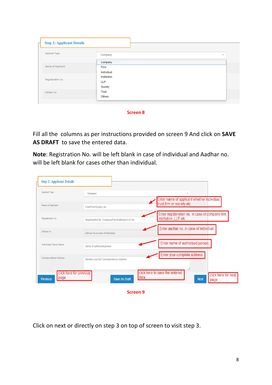| Applicat Type     |              |                         |
|-------------------|--------------|-------------------------|
|                   | Company      | $\overline{\mathbf{v}}$ |
|                   | Company      |                         |
| Name of Applicant | Firm         |                         |
|                   | Individual   |                         |
| Registeration no. | Institution  |                         |
|                   | LLP          |                         |
|                   | Society      |                         |
| Adhaar no         | <b>Trust</b> |                         |
|                   | Others       |                         |

**Screen 8**

Fill all the columns as per instructions provided on screen 9 And click on **SAVE AS DRAFT** to save the entered data.

**Note**: Registration No. will be left blank in case of individual and Aadhar no. will be left blank for cases other than individual.

| Applicat Type           | Company                                                 | ٠                                                                            |
|-------------------------|---------------------------------------------------------|------------------------------------------------------------------------------|
| Name of Applicant       | Trust/Firm/Society etc.                                 | Enter name of applicant whether individual<br>trust, firm or society etc     |
| Registeration no.       | Registeration No Company/Firm/Institution/LLP etc       | Enter registeration no. in case of dompany firm,<br>institution , LLP etc    |
| Adhaar no               | Adhaar No in case of Individual                         | Enter aadhar no. in case of individual                                       |
| Authorised Person Name  | Name of authorised person                               | Enter name of authorised person                                              |
| Correspondence Address  | Mention your full Correspondence Address                | Enter your complete address                                                  |
| page<br><b>Previous</b> | click here for previous<br>data<br><b>Save As Draft</b> | click here to save the entered<br>click here for next<br><b>Next</b><br>page |

**Screen 9**

Click on next or directly on step 3 on top of screen to visit step 3.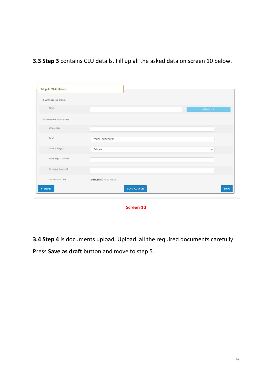**3.3 Step 3** contains CLU details. Fill up all the asked data on screen 10 below.

| If CLU obtained online     |                            |               |
|----------------------------|----------------------------|---------------|
| CLU Id                     |                            | Validate >    |
| If CLU not obtained online |                            |               |
| CLU number                 |                            |               |
| Tehsil                     | TEHSIL GURUGRAM            | $\mathcal{C}$ |
| Name of village            | Bajhgera                   | $\sim$        |
| Name as per CLU form       |                            |               |
| Area applied as per CLU    |                            |               |
| CLU Approval Letter        | Choose File No file chosen |               |

**Screen 10**

**3.4 Step 4** is documents upload, Upload all the required documents carefully.

Press **Save as draft** button and move to step 5.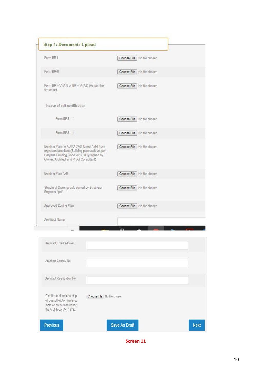| Form BR-I                                                                                                                                                                                | Choose File   No file chosen |
|------------------------------------------------------------------------------------------------------------------------------------------------------------------------------------------|------------------------------|
| Form BR-II                                                                                                                                                                               | Choose File   No file chosen |
| Form BR $-$ V (A1) or BR $-$ V (A2) (As per the<br>structure)                                                                                                                            | Choose File   No file chosen |
| Incase of self certification                                                                                                                                                             |                              |
| Form BRS-1                                                                                                                                                                               | Choose File   No file chosen |
| Form BRS-II                                                                                                                                                                              | Choose File   No file chosen |
| Building Plan (in AUTO CAD format *.dxf from<br>registered architect)(Building plan scale as per<br>Haryana Building Code 2017, duly signed by<br>Owner, Architect and Proof Consultant) | Choose File   No file chosen |
| Building Plan *pdf                                                                                                                                                                       | Choose File No file chosen   |
| Structural Drawing duly signed by Structural<br>Engineer "pdf                                                                                                                            | Choose File   No file chosen |
| Approved Zoning Plan                                                                                                                                                                     | Choose File   No file chosen |
| Architect Name                                                                                                                                                                           |                              |

| <b>Architect Email Address</b>                                                                                     |                              |             |
|--------------------------------------------------------------------------------------------------------------------|------------------------------|-------------|
| Architect Contact No                                                                                               |                              |             |
| Architect Registration No.                                                                                         |                              |             |
| Certificate of membership<br>of Council of Architecture,<br>India as prescribed under<br>the Architect's Act 1972. | Choose File   No file chosen |             |
| <b>Previous</b>                                                                                                    | <b>Save As Draft</b>         | <b>Next</b> |

Screen 11